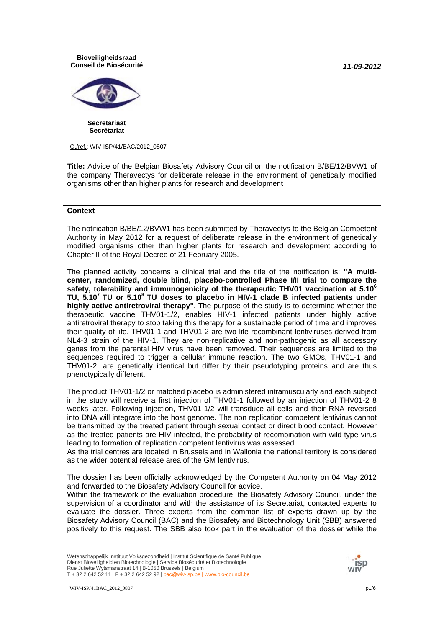*11-09-2012*

#### **Bioveiligheidsraad Conseil de Biosécurité**



**Secretariaat Secrétariat**

O./ref.: WIV-ISP/41/BAC/2012\_0807

**Title:** Advice of the Belgian Biosafety Advisory Council on the notification B/BE/12/BVW1 of the company Theravectys for deliberate release in the environment of genetically modified organisms other than higher plants for research and development

#### **Context**

The notification B/BE/12/BVW1 has been submitted by Theravectys to the Belgian Competent Authority in May 2012 for a request of deliberate release in the environment of genetically modified organisms other than higher plants for research and development according to Chapter II of the Royal Decree of 21 February 2005.

The planned activity concerns a clinical trial and the title of the notification is: **"A multicenter, randomized, double blind, placebo-controlled Phase I/II trial to compare the safety, tolerability and immunogenicity of the therapeutic THV01 vaccination at 5.10<sup>6</sup> TU, 5.107 TU or 5.108 TU doses to placebo in HIV-1 clade B infected patients under highly active antiretroviral therapy"**. The purpose of the study is to determine whether the therapeutic vaccine THV01-1/2, enables HIV-1 infected patients under highly active antiretroviral therapy to stop taking this therapy for a sustainable period of time and improves their quality of life. THV01-1 and THV01-2 are two life recombinant lentiviruses derived from NL4-3 strain of the HIV-1. They are non-replicative and non-pathogenic as all accessory genes from the parental HIV virus have been removed. Their sequences are limited to the sequences required to trigger a cellular immune reaction. The two GMOs, THV01-1 and THV01-2, are genetically identical but differ by their pseudotyping proteins and are thus phenotypically different.

The product THV01-1/2 or matched placebo is administered intramuscularly and each subject in the study will receive a first injection of THV01-1 followed by an injection of THV01-2 8 weeks later. Following injection, THV01-1/2 will transduce all cells and their RNA reversed into DNA will integrate into the host genome. The non replication competent lentivirus cannot be transmitted by the treated patient through sexual contact or direct blood contact. However as the treated patients are HIV infected, the probability of recombination with wild-type virus leading to formation of replication competent lentivirus was assessed.

As the trial centres are located in Brussels and in Wallonia the national territory is considered as the wider potential release area of the GM lentivirus*.*

Within the framework of the evaluation procedure, the Biosafety Advisory Council, under the supervision of a coordinator and with the assistance of its Secretariat, contacted experts to evaluate the dossier. Three experts from the common list of experts drawn up by the Biosafety Advisory Council (BAC) and the Biosafety and Biotechnology Unit (SBB) answered positively to this request. The SBB also took part in the evaluation of the dossier while the



The dossier has been officially acknowledged by the Competent Authority on 04 May 2012 and forwarded to the Biosafety Advisory Council for advice.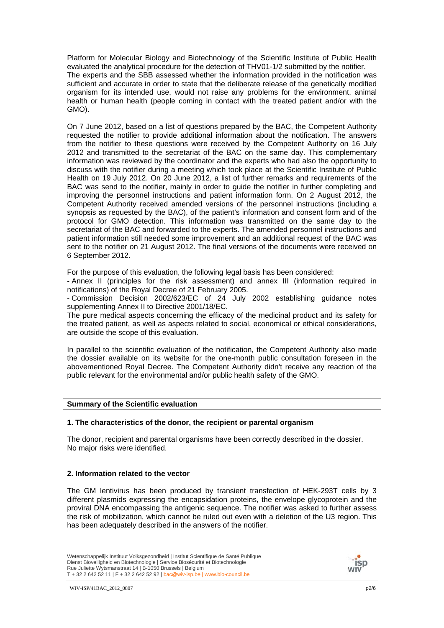Platform for Molecular Biology and Biotechnology of the Scientific Institute of Public Health evaluated the analytical procedure for the detection of THV01-1/2 submitted by the notifier. The experts and the SBB assessed whether the information provided in the notification was sufficient and accurate in order to state that the deliberate release of the genetically modified organism for its intended use, would not raise any problems for the environment, animal health or human health (people coming in contact with the treated patient and/or with the GMO).

On 7 June 2012, based on a list of questions prepared by the BAC, the Competent Authority requested the notifier to provide additional information about the notification. The answers from the notifier to these questions were received by the Competent Authority on 16 July 2012 and transmitted to the secretariat of the BAC on the same day. This complementary information was reviewed by the coordinator and the experts who had also the opportunity to discuss with the notifier during a meeting which took place at the Scientific Institute of Public Health on 19 July 2012. On 20 June 2012, a list of further remarks and requirements of the BAC was send to the notifier, mainly in order to guide the notifier in further completing and improving the personnel instructions and patient information form. On 2 August 2012, the Competent Authority received amended versions of the personnel instructions (including a synopsis as requested by the BAC), of the patient's information and consent form and of the protocol for GMO detection. This information was transmitted on the same day to the secretariat of the BAC and forwarded to the experts. The amended personnel instructions and patient information still needed some improvement and an additional request of the BAC was sent to the notifier on 21 August 2012. The final versions of the documents were received on 6 September 2012.

For the purpose of this evaluation, the following legal basis has been considered:

- Annex II (principles for the risk assessment) and annex III (information required in notifications) of the Royal Decree of 21 February 2005.

- Commission Decision 2002/623/EC of 24 July 2002 establishing guidance notes supplementing Annex II to Directive 2001/18/EC.

The pure medical aspects concerning the efficacy of the medicinal product and its safety for the treated patient, as well as aspects related to social, economical or ethical considerations, are outside the scope of this evaluation.

In parallel to the scientific evaluation of the notification, the Competent Authority also made the dossier available on its website for the one-month public consultation foreseen in the abovementioned Royal Decree. The Competent Authority didn't receive any reaction of the public relevant for the environmental and/or public health safety of the GMO.

#### **Summary of the Scientific evaluation**

#### **1. The characteristics of the donor, the recipient or parental organism**

The donor, recipient and parental organisms have been correctly described in the dossier. No major risks were identified.

#### **2. Information related to the vector**

The GM lentivirus has been produced by transient transfection of HEK-293T cells by 3 different plasmids expressing the encapsidation proteins, the envelope glycoprotein and the proviral DNA encompassing the antigenic sequence. The notifier was asked to further assess the risk of mobilization, which cannot be ruled out even with a deletion of the U3 region. This has been adequately described in the answers of the notifier.

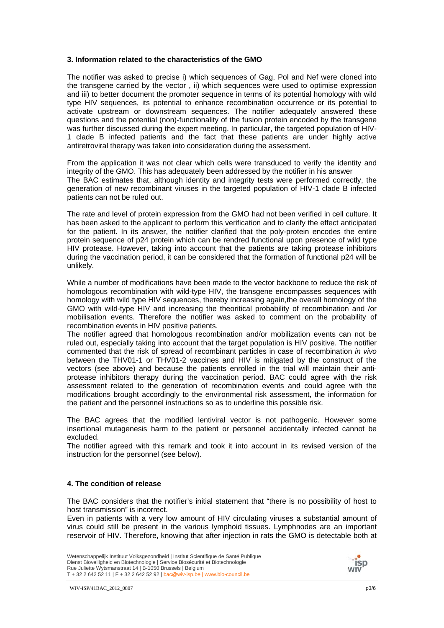#### **3. Information related to the characteristics of the GMO**

The notifier was asked to precise i) which sequences of Gag, Pol and Nef were cloned into the transgene carried by the vector , ii) which sequences were used to optimise expression and iii) to better document the promoter sequence in terms of its potential homology with wild type HIV sequences, its potential to enhance recombination occurrence or its potential to activate upstream or downstream sequences. The notifier adequately answered these questions and the potential (non)-functionality of the fusion protein encoded by the transgene was further discussed during the expert meeting. In particular, the targeted population of HIV-1 clade B infected patients and the fact that these patients are under highly active antiretroviral therapy was taken into consideration during the assessment.

From the application it was not clear which cells were transduced to verify the identity and integrity of the GMO. This has adequately been addressed by the notifier in his answer The BAC estimates that, although identity and integrity tests were performed correctly, the generation of new recombinant viruses in the targeted population of HIV-1 clade B infected patients can not be ruled out.

The rate and level of protein expression from the GMO had not been verified in cell culture. It has been asked to the applicant to perform this verification and to clarify the effect anticipated for the patient. In its answer, the notifier clarified that the poly-protein encodes the entire protein sequence of p24 protein which can be rendred functional upon presence of wild type HIV protease. However, taking into account that the patients are taking protease inhibitors during the vaccination period, it can be considered that the formation of functional p24 will be unlikely.

While a number of modifications have been made to the vector backbone to reduce the risk of homologous recombination with wild-type HIV, the transgene encompasses sequences with homology with wild type HIV sequences, thereby increasing again,the overall homology of the GMO with wild-type HIV and increasing the theoritical probability of recombination and /or mobilisation events. Therefore the notifier was asked to comment on the probability of recombination events in HIV positive patients.

The notifier agreed that homologous recombination and/or mobilization events can not be ruled out, especially taking into account that the target population is HIV positive. The notifier commented that the risk of spread of recombinant particles in case of recombination *in vivo*  between the THV01-1 or THV01-2 vaccines and HIV is mitigated by the construct of the vectors (see above) and because the patients enrolled in the trial will maintain their antiprotease inhibitors therapy during the vaccination period. BAC could agree with the risk assessment related to the generation of recombination events and could agree with the modifications brought accordingly to the environmental risk assessment, the information for the patient and the personnel instructions so as to underline this possible risk.

The BAC agrees that the modified lentiviral vector is not pathogenic. However some insertional mutagenesis harm to the patient or personnel accidentally infected cannot be excluded.

The notifier agreed with this remark and took it into account in its revised version of the instruction for the personnel (see below).

### **4. The condition of release**

The BAC considers that the notifier's initial statement that "there is no possibility of host to host transmission" is incorrect.

Even in patients with a very low amount of HIV circulating viruses a substantial amount of virus could still be present in the various lymphoid tissues. Lymphnodes are an important reservoir of HIV. Therefore, knowing that after injection in rats the GMO is detectable both at

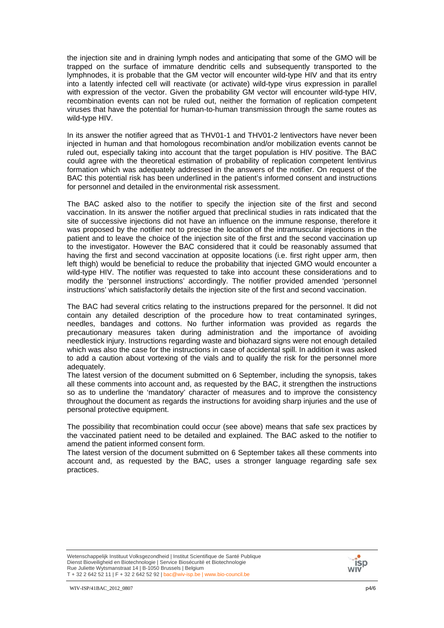the injection site and in draining lymph nodes and anticipating that some of the GMO will be trapped on the surface of immature dendritic cells and subsequently transported to the lymphnodes, it is probable that the GM vector will encounter wild-type HIV and that its entry into a latently infected cell will reactivate (or activate) wild-type virus expression in parallel with expression of the vector. Given the probability GM vector will encounter wild-type HIV, recombination events can not be ruled out, neither the formation of replication competent viruses that have the potential for human-to-human transmission through the same routes as wild-type HIV.

In its answer the notifier agreed that as THV01-1 and THV01-2 lentivectors have never been injected in human and that homologous recombination and/or mobilization events cannot be ruled out, especially taking into account that the target population is HIV positive. The BAC could agree with the theoretical estimation of probability of replication competent lentivirus formation which was adequately addressed in the answers of the notifier. On request of the BAC this potential risk has been underlined in the patient's informed consent and instructions for personnel and detailed in the environmental risk assessment.

The BAC asked also to the notifier to specify the injection site of the first and second vaccination. In its answer the notifier argued that preclinical studies in rats indicated that the site of successive injections did not have an influence on the immune response, therefore it was proposed by the notifier not to precise the location of the intramuscular injections in the patient and to leave the choice of the injection site of the first and the second vaccination up to the investigator. However the BAC considered that it could be reasonably assumed that having the first and second vaccination at opposite locations (i.e. first right upper arm, then left thigh) would be beneficial to reduce the probability that injected GMO would encounter a wild-type HIV. The notifier was requested to take into account these considerations and to modify the 'personnel instructions' accordingly. The notifier provided amended 'personnel instructions' which satisfactorily details the injection site of the first and second vaccination.

The BAC had several critics relating to the instructions prepared for the personnel. It did not contain any detailed description of the procedure how to treat contaminated syringes, needles, bandages and cottons. No further information was provided as regards the precautionary measures taken during administration and the importance of avoiding needlestick injury. Instructions regarding waste and biohazard signs were not enough detailed which was also the case for the instructions in case of accidental spill. In addition it was asked to add a caution about vortexing of the vials and to qualify the risk for the personnel more adequately.

The latest version of the document submitted on 6 September, including the synopsis, takes all these comments into account and, as requested by the BAC, it strengthen the instructions so as to underline the 'mandatory' character of measures and to improve the consistency throughout the document as regards the instructions for avoiding sharp injuries and the use of personal protective equipment.

The possibility that recombination could occur (see above) means that safe sex practices by the vaccinated patient need to be detailed and explained. The BAC asked to the notifier to amend the patient informed consent form.

The latest version of the document submitted on 6 September takes all these comments into account and, as requested by the BAC, uses a stronger language regarding safe sex practices.

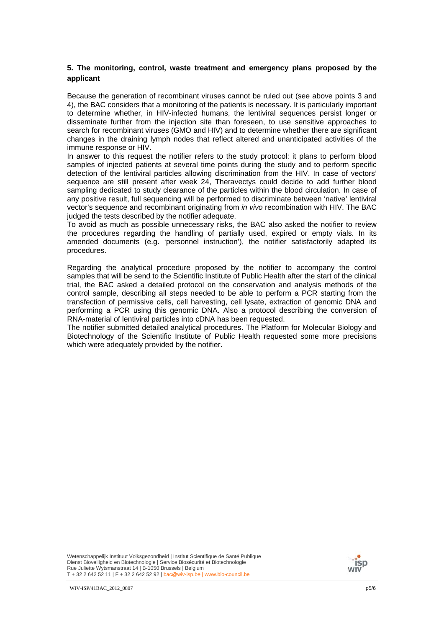### **5. The monitoring, control, waste treatment and emergency plans proposed by the applicant**

Because the generation of recombinant viruses cannot be ruled out (see above points 3 and 4), the BAC considers that a monitoring of the patients is necessary. It is particularly important to determine whether, in HIV-infected humans, the lentiviral sequences persist longer or disseminate further from the injection site than foreseen, to use sensitive approaches to search for recombinant viruses (GMO and HIV) and to determine whether there are significant changes in the draining lymph nodes that reflect altered and unanticipated activities of the immune response or HIV.

In answer to this request the notifier refers to the study protocol: it plans to perform blood samples of injected patients at several time points during the study and to perform specific detection of the lentiviral particles allowing discrimination from the HIV. In case of vectors' sequence are still present after week 24, Theravectys could decide to add further blood sampling dedicated to study clearance of the particles within the blood circulation. In case of any positive result, full sequencing will be performed to discriminate between 'native' lentiviral vector's sequence and recombinant originating from *in vivo* recombination with HIV. The BAC judged the tests described by the notifier adequate.

To avoid as much as possible unnecessary risks, the BAC also asked the notifier to review the procedures regarding the handling of partially used, expired or empty vials. In its amended documents (e.g. 'personnel instruction'), the notifier satisfactorily adapted its procedures.

Regarding the analytical procedure proposed by the notifier to accompany the control samples that will be send to the Scientific Institute of Public Health after the start of the clinical trial, the BAC asked a detailed protocol on the conservation and analysis methods of the control sample, describing all steps needed to be able to perform a PCR starting from the transfection of permissive cells, cell harvesting, cell lysate, extraction of genomic DNA and performing a PCR using this genomic DNA. Also a protocol describing the conversion of RNA-material of lentiviral particles into cDNA has been requested.

The notifier submitted detailed analytical procedures. The Platform for Molecular Biology and Biotechnology of the Scientific Institute of Public Health requested some more precisions which were adequately provided by the notifier.

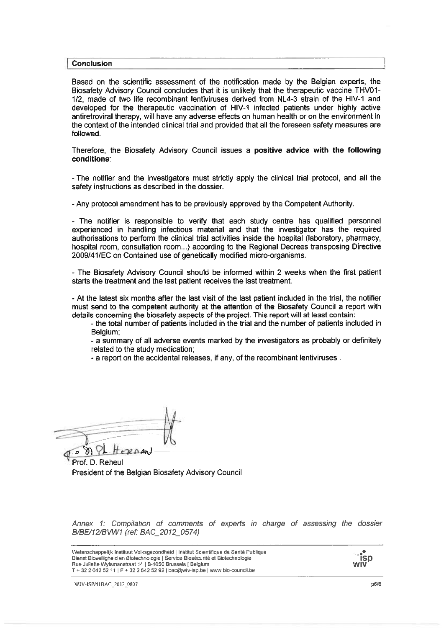#### **Conclusion**

Based on the scientific assessment of the notification made by the Belgian experts, the Biosafety Advisory Council concludes that it is unlikely that the therapeutic vaccine THV01-1/2, made of two life recombinant lentiviruses derived from NL4-3 strain of the HIV-1 and developed for the therapeutic vaccination of HIV-1 infected patients under highly active antiretroviral therapy, will have any adverse effects on human health or on the environment in the context of the intended clinical trial and provided that all the foreseen safety measures are followed.

Therefore, the Biosafety Advisory Council issues a positive advice with the following conditions:

- The notifier and the investigators must strictly apply the clinical trial protocol, and all the safety instructions as described in the dossier.

- Any protocol amendment has to be previously approved by the Competent Authority.

- The notifier is responsible to verify that each study centre has qualified personnel experienced in handling infectious material and that the investigator has the required authorisations to perform the clinical trial activities inside the hospital (laboratory, pharmacy, hospital room, consultation room...) according to the Regional Decrees transposing Directive 2009/41/EC on Contained use of genetically modified micro-organisms.

- The Biosafety Advisory Council should be informed within 2 weeks when the first patient starts the treatment and the last patient receives the last treatment.

- At the latest six months after the last visit of the last patient included in the trial, the notifier must send to the competent authority at the attention of the Biosafety Council a report with details concerning the biosafety aspects of the project. This report will at least contain:

- the total number of patients included in the trial and the number of patients included in Belgium;

- a summary of all adverse events marked by the investigators as probably or definitely related to the study medication:

- a report on the accidental releases, if any, of the recombinant lentiviruses.

 $E$ 20An)

President of the Belgian Biosafety Advisory Council

Annex 1: Compilation of comments of experts in charge of assessing the dossier B/BE/12/BVW1 (ref: BAC\_2012\_0574)

Wetenschappelijk Instituut Volksgezondheid | Institut Scientifique de Santé Publique Dienst Bioveiligheid en Biotechnologie | Service Biosecurité et Biotechnologie Rue Juliette Wytsmanstraat 14 | B-1050 Brussels | Belgium T + 32 2 642 52 11 | F + 32 2 642 52 92 | bac@wiv-isp.be | www.bio-council.be



WIV-ISP/41BAC 2012 0807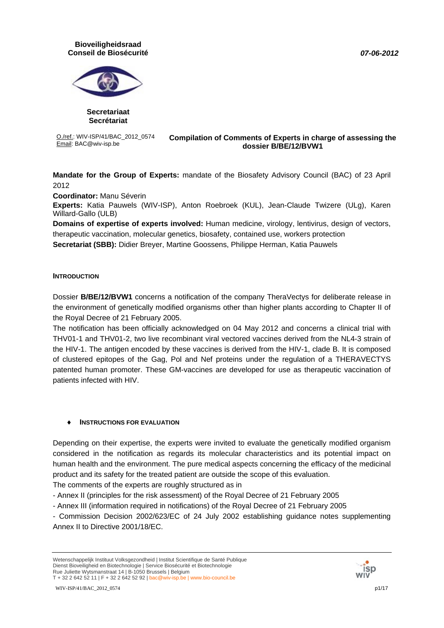#### *07-06-2012*

### **Bioveiligheidsraad Conseil de Biosécurité**



**Secretariaat Secrétariat**

O./ref.: WIV-ISP/41/BAC\_2012\_0574

#### **O./ref.: WIV-ISP/41/BAC\_2012\_0574 Compilation of Comments of Experts in charge of assessing the <br>Email: BAC@wiv-isp.be despite alossior R/RE/12/RVM1 dossier B/BE/12/BVW1**

**Mandate for the Group of Experts:** mandate of the Biosafety Advisory Council (BAC) of 23 April 2012

**Coordinator:** Manu Séverin

**Experts:** Katia Pauwels (WIV-ISP), Anton Roebroek (KUL), Jean-Claude Twizere (ULg), Karen Willard-Gallo (ULB)

**Domains of expertise of experts involved:** Human medicine, virology, lentivirus, design of vectors, therapeutic vaccination, molecular genetics, biosafety, contained use, workers protection **Secretariat (SBB):** Didier Breyer, Martine Goossens, Philippe Herman, Katia Pauwels

### **INTRODUCTION**

Dossier **B/BE/12/BVW1** concerns a notification of the company TheraVectys for deliberate release in the environment of genetically modified organisms other than higher plants according to Chapter II of the Royal Decree of 21 February 2005.

The notification has been officially acknowledged on 04 May 2012 and concerns a clinical trial with THV01-1 and THV01-2, two live recombinant viral vectored vaccines derived from the NL4-3 strain of the HIV-1. The antigen encoded by these vaccines is derived from the HIV-1, clade B. It is composed of clustered epitopes of the Gag, Pol and Nef proteins under the regulation of a THERAVECTYS patented human promoter. These GM-vaccines are developed for use as therapeutic vaccination of patients infected with HIV.

### ♦ **INSTRUCTIONS FOR EVALUATION**

Depending on their expertise, the experts were invited to evaluate the genetically modified organism considered in the notification as regards its molecular characteristics and its potential impact on human health and the environment. The pure medical aspects concerning the efficacy of the medicinal product and its safety for the treated patient are outside the scope of this evaluation.

The comments of the experts are roughly structured as in

- Annex II (principles for the risk assessment) of the Royal Decree of 21 February 2005

- Annex III (information required in notifications) of the Royal Decree of 21 February 2005

- Commission Decision 2002/623/EC of 24 July 2002 establishing guidance notes supplementing Annex II to Directive 2001/18/EC.

Wetenschappelijk Instituut Volksgezondheid | Institut Scientifique de Santé Publique Dienst Bioveiligheid en Biotechnologie | Service Biosécurité et Biotechnologie Rue Juliette Wytsmanstraat 14 | B-1050 Brussels | Belgium T + 32 2 642 52 11 | F + 32 2 642 52 92 | bac@wiv-isp.be | www.bio-council.be



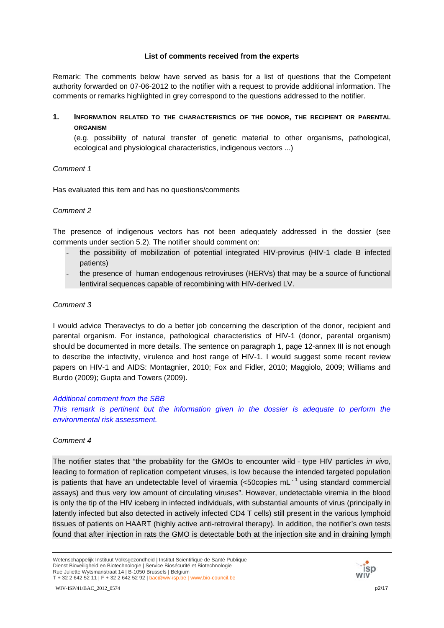#### **List of comments received from the experts**

Remark: The comments below have served as basis for a list of questions that the Competent authority forwarded on 07-06-2012 to the notifier with a request to provide additional information. The comments or remarks highlighted in grey correspond to the questions addressed to the notifier.

**1. INFORMATION RELATED TO THE CHARACTERISTICS OF THE DONOR, THE RECIPIENT OR PARENTAL ORGANISM**

(e.g. possibility of natural transfer of genetic material to other organisms, pathological, ecological and physiological characteristics, indigenous vectors ...)

### *Comment 1*

Has evaluated this item and has no questions/comments

### *Comment 2*

The presence of indigenous vectors has not been adequately addressed in the dossier (see comments under section 5.2). The notifier should comment on:

- the possibility of mobilization of potential integrated HIV-provirus (HIV-1 clade B infected patients)
- the presence of human endogenous retroviruses (HERVs) that may be a source of functional lentiviral sequences capable of recombining with HIV-derived LV.

### *Comment 3*

I would advice Theravectys to do a better job concerning the description of the donor, recipient and parental organism. For instance, pathological characteristics of HIV-1 (donor, parental organism) should be documented in more details. The sentence on paragraph 1, page 12-annex III is not enough to describe the infectivity, virulence and host range of HIV-1. I would suggest some recent review papers on HIV-1 and AIDS: Montagnier, 2010; Fox and Fidler, 2010; Maggiolo, 2009; Williams and Burdo (2009); Gupta and Towers (2009).

*Additional comment from the SBB* 

This remark is pertinent but the information given in the dossier is adequate to perform the *environmental risk assessment.* 

### *Comment 4*

The notifier states that "the probability for the GMOs to encounter wild‐type HIV particles *in vivo*, leading to formation of replication competent viruses, is low because the intended targeted population is patients that have an undetectable level of viraemia (<50copies mL<sup>-1</sup> using standard commercial assays) and thus very low amount of circulating viruses". However, undetectable viremia in the blood is only the tip of the HIV iceberg in infected individuals, with substantial amounts of virus (principally in latently infected but also detected in actively infected CD4 T cells) still present in the various lymphoid tissues of patients on HAART (highly active anti-retroviral therapy). In addition, the notifier's own tests found that after injection in rats the GMO is detectable both at the injection site and in draining lymph



Wetenschappelijk Instituut Volksgezondheid | Institut Scientifique de Santé Publique Dienst Bioveiligheid en Biotechnologie | Service Biosécurité et Biotechnologie Rue Juliette Wytsmanstraat 14 | B-1050 Brussels | Belgium T + 32 2 642 52 11 | F + 32 2 642 52 92 | bac@wiv-isp.be | www.bio-council.be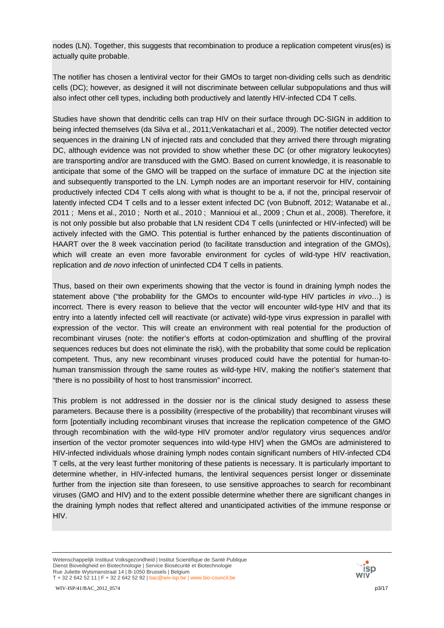nodes (LN). Together, this suggests that recombination to produce a replication competent virus(es) is actually quite probable.

The notifier has chosen a lentiviral vector for their GMOs to target non-dividing cells such as dendritic cells (DC); however, as designed it will not discriminate between cellular subpopulations and thus will also infect other cell types, including both productively and latently HIV-infected CD4 T cells.

Studies have shown that dendritic cells can trap HIV on their surface through DC-SIGN in addition to being infected themselves (da Silva et al., 2011;Venkatachari et al., 2009). The notifier detected vector sequences in the draining LN of injected rats and concluded that they arrived there through migrating DC, although evidence was not provided to show whether these DC (or other migratory leukocytes) are transporting and/or are transduced with the GMO. Based on current knowledge, it is reasonable to anticipate that some of the GMO will be trapped on the surface of immature DC at the injection site and subsequently transported to the LN. Lymph nodes are an important reservoir for HIV, containing productively infected CD4 T cells along with what is thought to be a, if not the, principal reservoir of latently infected CD4 T cells and to a lesser extent infected DC (von Bubnoff, 2012; Watanabe et al., 2011 ; Mens et al., 2010 ; North et al., 2010 ; Mannioui et al., 2009 ; Chun et al., 2008). Therefore, it is not only possible but also probable that LN resident CD4 T cells (uninfected or HIV-infected) will be actively infected with the GMO. This potential is further enhanced by the patients discontinuation of HAART over the 8 week vaccination period (to facilitate transduction and integration of the GMOs), which will create an even more favorable environment for cycles of wild-type HIV reactivation, replication and *de novo* infection of uninfected CD4 T cells in patients.

Thus, based on their own experiments showing that the vector is found in draining lymph nodes the statement above ("the probability for the GMOs to encounter wild-type HIV particles *in vivo*…) is incorrect. There is every reason to believe that the vector will encounter wild-type HIV and that its entry into a latently infected cell will reactivate (or activate) wild-type virus expression in parallel with expression of the vector. This will create an environment with real potential for the production of recombinant viruses (note: the notifier's efforts at codon-optimization and shuffling of the proviral sequences reduces but does not eliminate the risk), with the probability that some could be replication competent. Thus, any new recombinant viruses produced could have the potential for human-tohuman transmission through the same routes as wild-type HIV, making the notifier's statement that "there is no possibility of host to host transmission" incorrect.

This problem is not addressed in the dossier nor is the clinical study designed to assess these parameters. Because there is a possibility (irrespective of the probability) that recombinant viruses will form [potentially including recombinant viruses that increase the replication competence of the GMO through recombination with the wild-type HIV promoter and/or regulatory virus sequences and/or insertion of the vector promoter sequences into wild-type HIV] when the GMOs are administered to HIV-infected individuals whose draining lymph nodes contain significant numbers of HIV-infected CD4 T cells, at the very least further monitoring of these patients is necessary. It is particularly important to determine whether, in HIV-infected humans, the lentiviral sequences persist longer or disseminate further from the injection site than foreseen, to use sensitive approaches to search for recombinant viruses (GMO and HIV) and to the extent possible determine whether there are significant changes in the draining lymph nodes that reflect altered and unanticipated activities of the immune response or HIV.

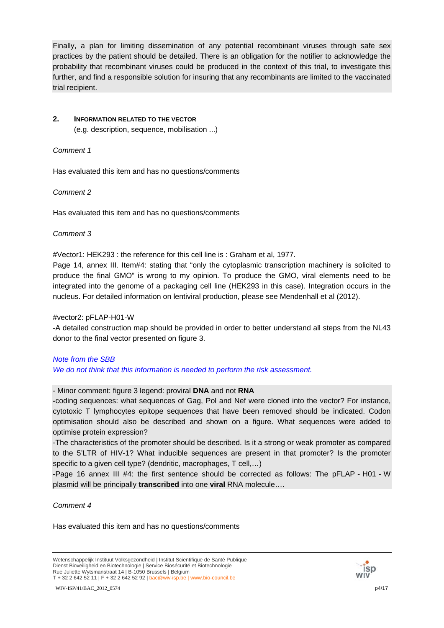Finally, a plan for limiting dissemination of any potential recombinant viruses through safe sex practices by the patient should be detailed. There is an obligation for the notifier to acknowledge the probability that recombinant viruses could be produced in the context of this trial, to investigate this further, and find a responsible solution for insuring that any recombinants are limited to the vaccinated trial recipient.

## **2. INFORMATION RELATED TO THE VECTOR**

(e.g. description, sequence, mobilisation ...)

#### *Comment 1*

Has evaluated this item and has no questions/comments

### *Comment 2*

Has evaluated this item and has no questions/comments

#### *Comment 3*

#Vector1: HEK293 : the reference for this cell line is : Graham et al, 1977.

Page 14, annex III. Item#4: stating that "only the cytoplasmic transcription machinery is solicited to produce the final GMO" is wrong to my opinion. To produce the GMO, viral elements need to be integrated into the genome of a packaging cell line (HEK293 in this case). Integration occurs in the nucleus. For detailed information on lentiviral production, please see Mendenhall et al (2012).

#### #vector2: pFLAP-H01-W

-A detailed construction map should be provided in order to better understand all steps from the NL43 donor to the final vector presented on figure 3.

# *Note from the SBB We do not think that this information is needed to perform the risk assessment.*

### - Minor comment: figure 3 legend: proviral **DNA** and not **RNA**

**-**coding sequences: what sequences of Gag, Pol and Nef were cloned into the vector? For instance, cytotoxic T lymphocytes epitope sequences that have been removed should be indicated. Codon optimisation should also be described and shown on a figure. What sequences were added to optimise protein expression?

-The characteristics of the promoter should be described. Is it a strong or weak promoter as compared to the 5'LTR of HIV-1? What inducible sequences are present in that promoter? Is the promoter specific to a given cell type? (dendritic, macrophages, T cell,…)

-Page 16 annex III #4: the first sentence should be corrected as follows: The pFLAP - H01 - W plasmid will be principally **transcribed** into one **viral** RNA molecule….

### *Comment 4*

Has evaluated this item and has no questions/comments

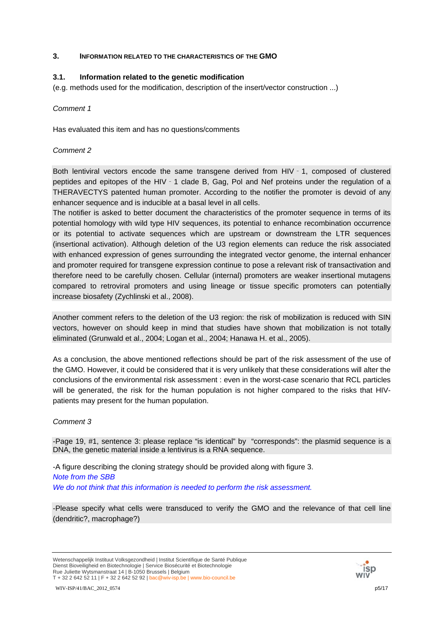#### **3. INFORMATION RELATED TO THE CHARACTERISTICS OF THE GMO**

#### **3.1. Information related to the genetic modification**

(e.g. methods used for the modification, description of the insert/vector construction ...)

#### *Comment 1*

Has evaluated this item and has no questions/comments

#### *Comment 2*

Both lentiviral vectors encode the same transgene derived from HIV - 1, composed of clustered peptides and epitopes of the HIV‐1 clade B, Gag, Pol and Nef proteins under the regulation of a THERAVECTYS patented human promoter. According to the notifier the promoter is devoid of any enhancer sequence and is inducible at a basal level in all cells.

The notifier is asked to better document the characteristics of the promoter sequence in terms of its potential homology with wild type HIV sequences, its potential to enhance recombination occurrence or its potential to activate sequences which are upstream or downstream the LTR sequences (insertional activation). Although deletion of the U3 region elements can reduce the risk associated with enhanced expression of genes surrounding the integrated vector genome, the internal enhancer and promoter required for transgene expression continue to pose a relevant risk of transactivation and therefore need to be carefully chosen. Cellular (internal) promoters are weaker insertional mutagens compared to retroviral promoters and using lineage or tissue specific promoters can potentially increase biosafety (Zychlinski et al., 2008).

Another comment refers to the deletion of the U3 region: the risk of mobilization is reduced with SIN vectors, however on should keep in mind that studies have shown that mobilization is not totally eliminated (Grunwald et al., 2004; Logan et al., 2004; Hanawa H. et al., 2005).

As a conclusion, the above mentioned reflections should be part of the risk assessment of the use of the GMO. However, it could be considered that it is very unlikely that these considerations will alter the conclusions of the environmental risk assessment : even in the worst-case scenario that RCL particles will be generated, the risk for the human population is not higher compared to the risks that HIVpatients may present for the human population.

#### *Comment 3*

-Page 19, #1, sentence 3: please replace "is identical" by "corresponds": the plasmid sequence is a DNA, the genetic material inside a lentivirus is a RNA sequence.

-A figure describing the cloning strategy should be provided along with figure 3. *Note from the SBB We do not think that this information is needed to perform the risk assessment.* 

-Please specify what cells were transduced to verify the GMO and the relevance of that cell line (dendritic?, macrophage?)

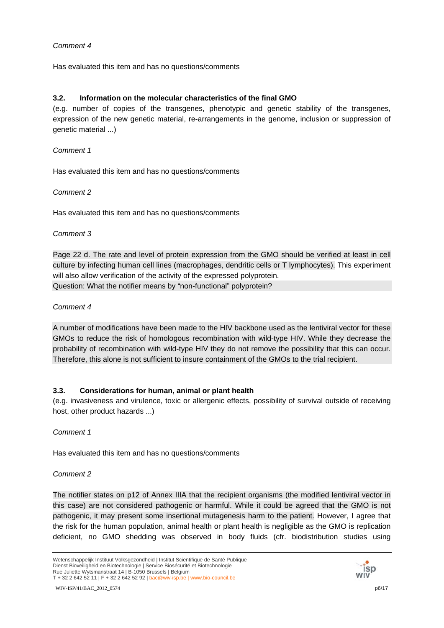Has evaluated this item and has no questions/comments

### **3.2. Information on the molecular characteristics of the final GMO**

(e.g. number of copies of the transgenes, phenotypic and genetic stability of the transgenes, expression of the new genetic material, re-arrangements in the genome, inclusion or suppression of genetic material ...)

### *Comment 1*

Has evaluated this item and has no questions/comments

### *Comment 2*

Has evaluated this item and has no questions/comments

### *Comment 3*

Page 22 d. The rate and level of protein expression from the GMO should be verified at least in cell culture by infecting human cell lines (macrophages, dendritic cells or T lymphocytes). This experiment will also allow verification of the activity of the expressed polyprotein. Question: What the notifier means by "non-functional" polyprotein?

### *Comment 4*

A number of modifications have been made to the HIV backbone used as the lentiviral vector for these GMOs to reduce the risk of homologous recombination with wild-type HIV. While they decrease the probability of recombination with wild-type HIV they do not remove the possibility that this can occur. Therefore, this alone is not sufficient to insure containment of the GMOs to the trial recipient.

## **3.3. Considerations for human, animal or plant health**

(e.g. invasiveness and virulence, toxic or allergenic effects, possibility of survival outside of receiving host, other product hazards ...)

### *Comment 1*

Has evaluated this item and has no questions/comments

### *Comment 2*

The notifier states on p12 of Annex IIIA that the recipient organisms (the modified lentiviral vector in this case) are not considered pathogenic or harmful. While it could be agreed that the GMO is not pathogenic, it may present some insertional mutagenesis harm to the patient. However, I agree that the risk for the human population, animal health or plant health is negligible as the GMO is replication deficient, no GMO shedding was observed in body fluids (cfr. biodistribution studies using

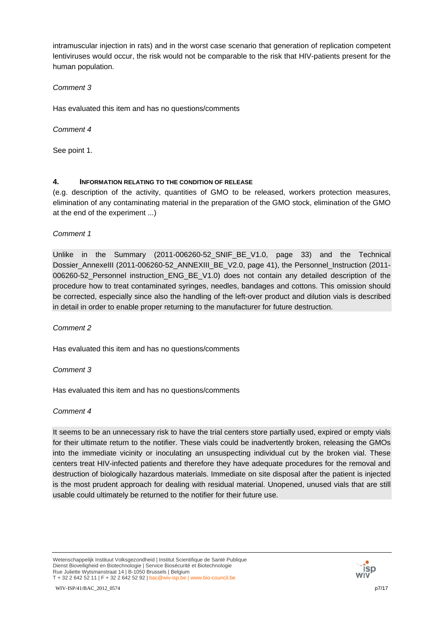intramuscular injection in rats) and in the worst case scenario that generation of replication competent lentiviruses would occur, the risk would not be comparable to the risk that HIV-patients present for the human population.

### *Comment 3*

Has evaluated this item and has no questions/comments

*Comment 4*

See point 1.

## **4. INFORMATION RELATING TO THE CONDITION OF RELEASE**

(e.g. description of the activity, quantities of GMO to be released, workers protection measures, elimination of any contaminating material in the preparation of the GMO stock, elimination of the GMO at the end of the experiment ...)

*Comment 1*

Unlike in the Summary (2011-006260-52\_SNIF\_BE\_V1.0, page 33) and the Technical Dossier\_AnnexeIII (2011-006260-52\_ANNEXIII\_BE\_V2.0, page 41), the Personnel\_Instruction (2011-006260-52 Personnel instruction ENG BE V1.0) does not contain any detailed description of the procedure how to treat contaminated syringes, needles, bandages and cottons. This omission should be corrected, especially since also the handling of the left-over product and dilution vials is described in detail in order to enable proper returning to the manufacturer for future destruction.

*Comment 2*

Has evaluated this item and has no questions/comments

*Comment 3*

Has evaluated this item and has no questions/comments

### *Comment 4*

It seems to be an unnecessary risk to have the trial centers store partially used, expired or empty vials for their ultimate return to the notifier. These vials could be inadvertently broken, releasing the GMOs into the immediate vicinity or inoculating an unsuspecting individual cut by the broken vial. These centers treat HIV-infected patients and therefore they have adequate procedures for the removal and destruction of biologically hazardous materials. Immediate on site disposal after the patient is injected is the most prudent approach for dealing with residual material. Unopened, unused vials that are still usable could ultimately be returned to the notifier for their future use.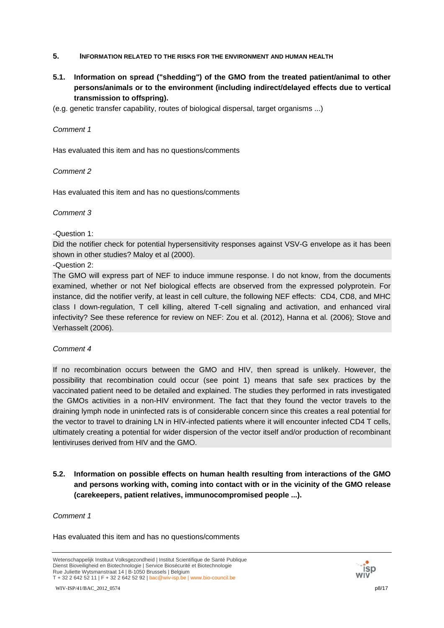- **5. INFORMATION RELATED TO THE RISKS FOR THE ENVIRONMENT AND HUMAN HEALTH**
- **5.1. Information on spread ("shedding") of the GMO from the treated patient/animal to other persons/animals or to the environment (including indirect/delayed effects due to vertical transmission to offspring).**
- (e.g. genetic transfer capability, routes of biological dispersal, target organisms ...)

Has evaluated this item and has no questions/comments

### *Comment 2*

Has evaluated this item and has no questions/comments

### *Comment 3*

-Question 1:

Did the notifier check for potential hypersensitivity responses against VSV-G envelope as it has been shown in other studies? Maloy et al (2000).

-Question 2:

The GMO will express part of NEF to induce immune response. I do not know, from the documents examined, whether or not Nef biological effects are observed from the expressed polyprotein. For instance, did the notifier verify, at least in cell culture, the following NEF effects: CD4, CD8, and MHC class I down-regulation, T cell killing, altered T-cell signaling and activation, and enhanced viral infectivity? See these reference for review on NEF: Zou et al. (2012), Hanna et al. (2006); Stove and Verhasselt (2006).

## *Comment 4*

If no recombination occurs between the GMO and HIV, then spread is unlikely. However, the possibility that recombination could occur (see point 1) means that safe sex practices by the vaccinated patient need to be detailed and explained. The studies they performed in rats investigated the GMOs activities in a non-HIV environment. The fact that they found the vector travels to the draining lymph node in uninfected rats is of considerable concern since this creates a real potential for the vector to travel to draining LN in HIV-infected patients where it will encounter infected CD4 T cells, ultimately creating a potential for wider dispersion of the vector itself and/or production of recombinant lentiviruses derived from HIV and the GMO.

**5.2. Information on possible effects on human health resulting from interactions of the GMO and persons working with, coming into contact with or in the vicinity of the GMO release (carekeepers, patient relatives, immunocompromised people ...).** 

### *Comment 1*



Wetenschappelijk Instituut Volksgezondheid | Institut Scientifique de Santé Publique Dienst Bioveiligheid en Biotechnologie | Service Biosécurité et Biotechnologie Rue Juliette Wytsmanstraat 14 | B-1050 Brussels | Belgium T + 32 2 642 52 11 | F + 32 2 642 52 92 | bac@wiv-isp.be | www.bio-council.be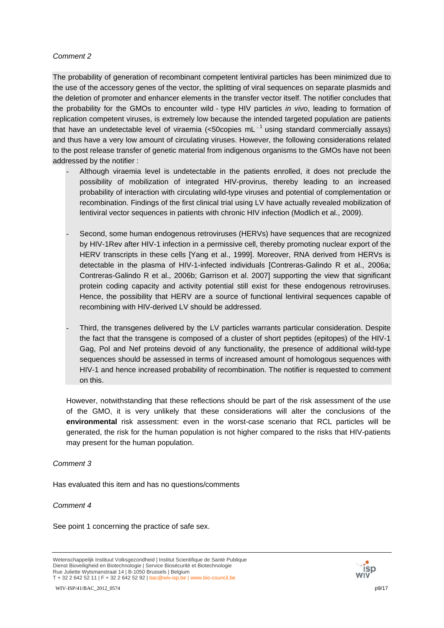The probability of generation of recombinant competent lentiviral particles has been minimized due to the use of the accessory genes of the vector, the splitting of viral sequences on separate plasmids and the deletion of promoter and enhancer elements in the transfer vector itself. The notifier concludes that the probability for the GMOs to encounter wild - type HIV particles *in vivo*, leading to formation of replication competent viruses, is extremely low because the intended targeted population are patients that have an undetectable level of viraemia (<50 copies mL $^{-1}$  using standard commercially assays) and thus have a very low amount of circulating viruses. However, the following considerations related to the post release transfer of genetic material from indigenous organisms to the GMOs have not been addressed by the notifier :

- Although viraemia level is undetectable in the patients enrolled, it does not preclude the possibility of mobilization of integrated HIV-provirus, thereby leading to an increased probability of interaction with circulating wild-type viruses and potential of complementation or recombination. Findings of the first clinical trial using LV have actually revealed mobilization of lentiviral vector sequences in patients with chronic HIV infection (Modlich et al., 2009).
- Second, some human endogenous retroviruses (HERVs) have sequences that are recognized by HIV-1Rev after HIV-1 infection in a permissive cell, thereby promoting nuclear export of the HERV transcripts in these cells [Yang et al., 1999]. Moreover, RNA derived from HERVs is detectable in the plasma of HIV-1-infected individuals [Contreras-Galindo R et al., 2006a; Contreras-Galindo R et al., 2006b; Garrison et al. 2007] supporting the view that significant protein coding capacity and activity potential still exist for these endogenous retroviruses. Hence, the possibility that HERV are a source of functional lentiviral sequences capable of recombining with HIV-derived LV should be addressed.
- Third, the transgenes delivered by the LV particles warrants particular consideration. Despite the fact that the transgene is composed of a cluster of short peptides (epitopes) of the HIV-1 Gag, Pol and Nef proteins devoid of any functionality, the presence of additional wild-type sequences should be assessed in terms of increased amount of homologous sequences with HIV-1 and hence increased probability of recombination. The notifier is requested to comment on this.

However, notwithstanding that these reflections should be part of the risk assessment of the use of the GMO, it is very unlikely that these considerations will alter the conclusions of the **environmental** risk assessment: even in the worst-case scenario that RCL particles will be generated, the risk for the human population is not higher compared to the risks that HIV-patients may present for the human population.

### *Comment 3*

Has evaluated this item and has no questions/comments

### *Comment 4*

See point 1 concerning the practice of safe sex.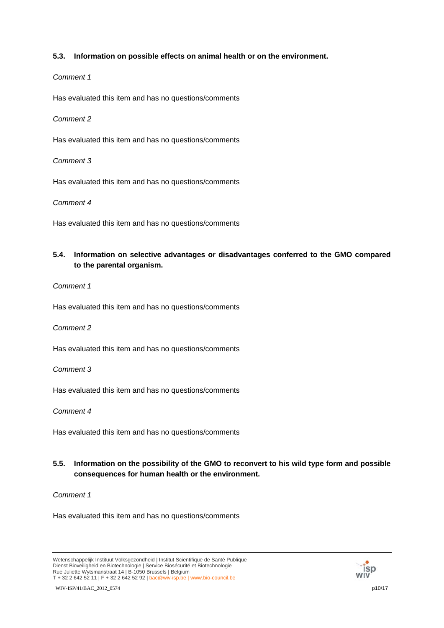### **5.3. Information on possible effects on animal health or on the environment.**

### *Comment 1*

Has evaluated this item and has no questions/comments

*Comment 2*

Has evaluated this item and has no questions/comments

*Comment 3*

Has evaluated this item and has no questions/comments

*Comment 4*

Has evaluated this item and has no questions/comments

# **5.4. Information on selective advantages or disadvantages conferred to the GMO compared to the parental organism.**

*Comment 1*

Has evaluated this item and has no questions/comments

*Comment 2*

Has evaluated this item and has no questions/comments

*Comment 3*

Has evaluated this item and has no questions/comments

*Comment 4*

Has evaluated this item and has no questions/comments

## **5.5. Information on the possibility of the GMO to reconvert to his wild type form and possible consequences for human health or the environment.**

*Comment 1*



Wetenschappelijk Instituut Volksgezondheid | Institut Scientifique de Santé Publique Dienst Bioveiligheid en Biotechnologie | Service Biosécurité et Biotechnologie Rue Juliette Wytsmanstraat 14 | B-1050 Brussels | Belgium T + 32 2 642 52 11 | F + 32 2 642 52 92 | bac@wiv-isp.be | www.bio-council.be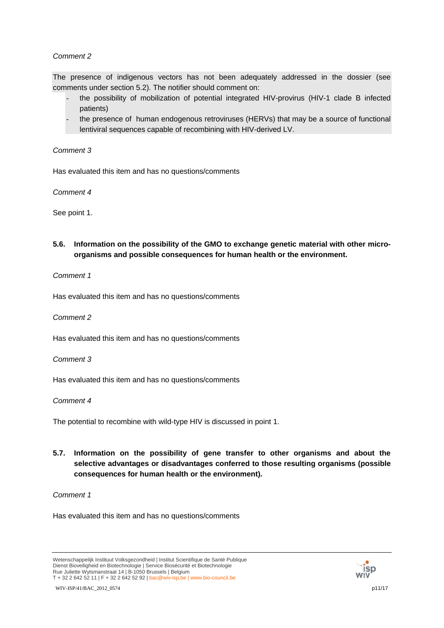The presence of indigenous vectors has not been adequately addressed in the dossier (see comments under section 5.2). The notifier should comment on:

- the possibility of mobilization of potential integrated HIV-provirus (HIV-1 clade B infected patients)
- the presence of human endogenous retroviruses (HERVs) that may be a source of functional lentiviral sequences capable of recombining with HIV-derived LV.

### *Comment 3*

Has evaluated this item and has no questions/comments

*Comment 4*

See point 1.

**5.6. Information on the possibility of the GMO to exchange genetic material with other microorganisms and possible consequences for human health or the environment.** 

### *Comment 1*

Has evaluated this item and has no questions/comments

### *Comment 2*

Has evaluated this item and has no questions/comments

*Comment 3*

Has evaluated this item and has no questions/comments

### *Comment 4*

The potential to recombine with wild-type HIV is discussed in point 1.

**5.7. Information on the possibility of gene transfer to other organisms and about the selective advantages or disadvantages conferred to those resulting organisms (possible consequences for human health or the environment).** 

# *Comment 1*



Wetenschappelijk Instituut Volksgezondheid | Institut Scientifique de Santé Publique Dienst Bioveiligheid en Biotechnologie | Service Biosécurité et Biotechnologie Rue Juliette Wytsmanstraat 14 | B-1050 Brussels | Belgium T + 32 2 642 52 11 | F + 32 2 642 52 92 | bac@wiv-isp.be | www.bio-council.be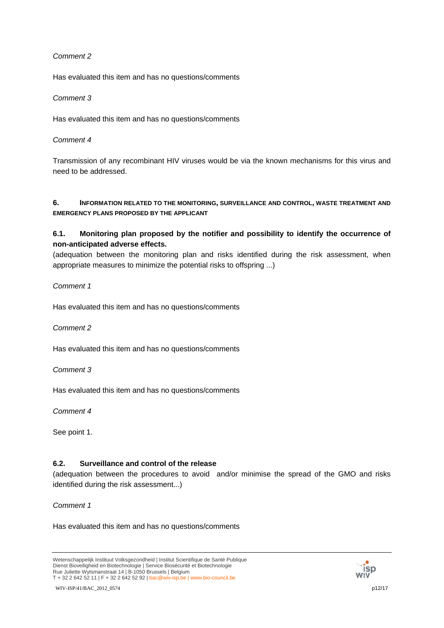Has evaluated this item and has no questions/comments

### *Comment 3*

Has evaluated this item and has no questions/comments

### *Comment 4*

Transmission of any recombinant HIV viruses would be via the known mechanisms for this virus and need to be addressed.

### **6. INFORMATION RELATED TO THE MONITORING, SURVEILLANCE AND CONTROL, WASTE TREATMENT AND EMERGENCY PLANS PROPOSED BY THE APPLICANT**

# **6.1. Monitoring plan proposed by the notifier and possibility to identify the occurrence of non-anticipated adverse effects.**

(adequation between the monitoring plan and risks identified during the risk assessment, when appropriate measures to minimize the potential risks to offspring ...)

### *Comment 1*

Has evaluated this item and has no questions/comments

*Comment 2*

Has evaluated this item and has no questions/comments

*Comment 3*

Has evaluated this item and has no questions/comments

*Comment 4*

See point 1.

## **6.2. Surveillance and control of the release**

(adequation between the procedures to avoid and/or minimise the spread of the GMO and risks identified during the risk assessment...)

*Comment 1*



Wetenschappelijk Instituut Volksgezondheid | Institut Scientifique de Santé Publique Dienst Bioveiligheid en Biotechnologie | Service Biosécurité et Biotechnologie Rue Juliette Wytsmanstraat 14 | B-1050 Brussels | Belgium T + 32 2 642 52 11 | F + 32 2 642 52 92 | bac@wiv-isp.be | www.bio-council.be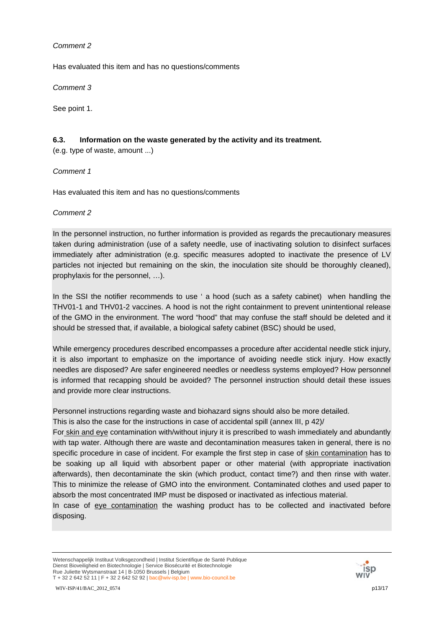Has evaluated this item and has no questions/comments

*Comment 3*

See point 1.

### **6.3. Information on the waste generated by the activity and its treatment.**

(e.g. type of waste, amount ...)

*Comment 1*

Has evaluated this item and has no questions/comments

*Comment 2*

In the personnel instruction, no further information is provided as regards the precautionary measures taken during administration (use of a safety needle, use of inactivating solution to disinfect surfaces immediately after administration (e.g. specific measures adopted to inactivate the presence of LV particles not injected but remaining on the skin, the inoculation site should be thoroughly cleaned), prophylaxis for the personnel, …).

In the SSI the notifier recommends to use ' a hood (such as a safety cabinet) when handling the THV01-1 and THV01-2 vaccines. A hood is not the right containment to prevent unintentional release of the GMO in the environment. The word "hood" that may confuse the staff should be deleted and it should be stressed that, if available, a biological safety cabinet (BSC) should be used,

While emergency procedures described encompasses a procedure after accidental needle stick injury, it is also important to emphasize on the importance of avoiding needle stick injury. How exactly needles are disposed? Are safer engineered needles or needless systems employed? How personnel is informed that recapping should be avoided? The personnel instruction should detail these issues and provide more clear instructions.

Personnel instructions regarding waste and biohazard signs should also be more detailed.

This is also the case for the instructions in case of accidental spill (annex III, p 42)/

For skin and eye contamination with/without injury it is prescribed to wash immediately and abundantly with tap water. Although there are waste and decontamination measures taken in general, there is no specific procedure in case of incident. For example the first step in case of skin contamination has to be soaking up all liquid with absorbent paper or other material (with appropriate inactivation afterwards), then decontaminate the skin (which product, contact time?) and then rinse with water. This to minimize the release of GMO into the environment. Contaminated clothes and used paper to absorb the most concentrated IMP must be disposed or inactivated as infectious material.

In case of eye contamination the washing product has to be collected and inactivated before disposing.

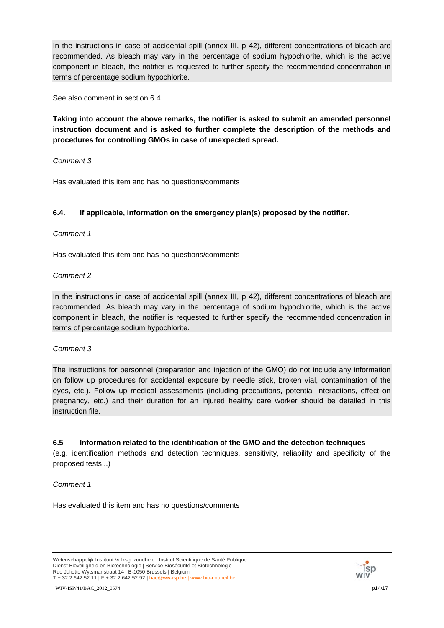In the instructions in case of accidental spill (annex III, p 42), different concentrations of bleach are recommended. As bleach may vary in the percentage of sodium hypochlorite, which is the active component in bleach, the notifier is requested to further specify the recommended concentration in terms of percentage sodium hypochlorite.

See also comment in section 6.4.

**Taking into account the above remarks, the notifier is asked to submit an amended personnel instruction document and is asked to further complete the description of the methods and procedures for controlling GMOs in case of unexpected spread.**

*Comment 3*

Has evaluated this item and has no questions/comments

## **6.4. If applicable, information on the emergency plan(s) proposed by the notifier.**

*Comment 1*

Has evaluated this item and has no questions/comments

## *Comment 2*

In the instructions in case of accidental spill (annex III, p 42), different concentrations of bleach are recommended. As bleach may vary in the percentage of sodium hypochlorite, which is the active component in bleach, the notifier is requested to further specify the recommended concentration in terms of percentage sodium hypochlorite.

## *Comment 3*

The instructions for personnel (preparation and injection of the GMO) do not include any information on follow up procedures for accidental exposure by needle stick, broken vial, contamination of the eyes, etc.). Follow up medical assessments (including precautions, potential interactions, effect on pregnancy, etc.) and their duration for an injured healthy care worker should be detailed in this instruction file.

## **6.5 Information related to the identification of the GMO and the detection techniques**

(e.g. identification methods and detection techniques, sensitivity, reliability and specificity of the proposed tests ..)

### *Comment 1*

Has evaluated this item and has no questions/comments

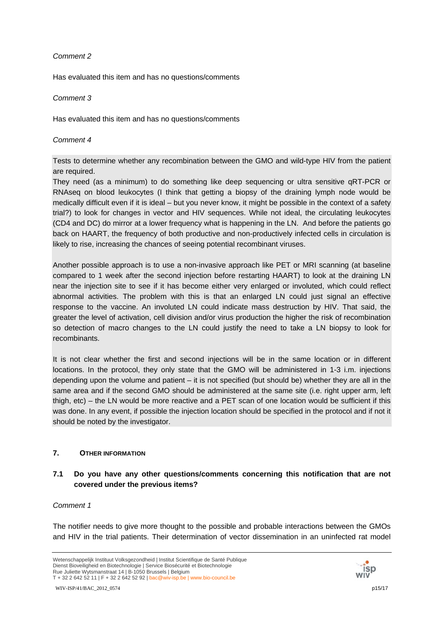Has evaluated this item and has no questions/comments

### *Comment 3*

Has evaluated this item and has no questions/comments

### *Comment 4*

Tests to determine whether any recombination between the GMO and wild-type HIV from the patient are required.

They need (as a minimum) to do something like deep sequencing or ultra sensitive qRT-PCR or RNAseq on blood leukocytes (I think that getting a biopsy of the draining lymph node would be medically difficult even if it is ideal – but you never know, it might be possible in the context of a safety trial?) to look for changes in vector and HIV sequences. While not ideal, the circulating leukocytes (CD4 and DC) do mirror at a lower frequency what is happening in the LN. And before the patients go back on HAART, the frequency of both productive and non-productively infected cells in circulation is likely to rise, increasing the chances of seeing potential recombinant viruses.

Another possible approach is to use a non-invasive approach like PET or MRI scanning (at baseline compared to 1 week after the second injection before restarting HAART) to look at the draining LN near the injection site to see if it has become either very enlarged or involuted, which could reflect abnormal activities. The problem with this is that an enlarged LN could just signal an effective response to the vaccine. An involuted LN could indicate mass destruction by HIV. That said, the greater the level of activation, cell division and/or virus production the higher the risk of recombination so detection of macro changes to the LN could justify the need to take a LN biopsy to look for recombinants.

It is not clear whether the first and second injections will be in the same location or in different locations. In the protocol, they only state that the GMO will be administered in 1-3 i.m. injections depending upon the volume and patient – it is not specified (but should be) whether they are all in the same area and if the second GMO should be administered at the same site (i.e. right upper arm, left thigh, etc) – the LN would be more reactive and a PET scan of one location would be sufficient if this was done. In any event, if possible the injection location should be specified in the protocol and if not it should be noted by the investigator.

## **7. OTHER INFORMATION**

# **7.1 Do you have any other questions/comments concerning this notification that are not covered under the previous items?**

### *Comment 1*

The notifier needs to give more thought to the possible and probable interactions between the GMOs and HIV in the trial patients. Their determination of vector dissemination in an uninfected rat model

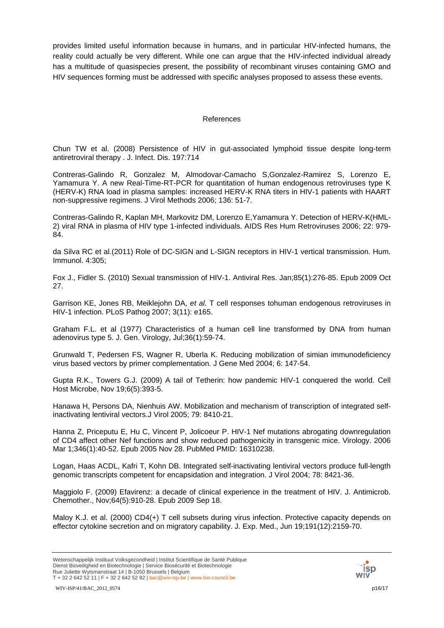provides limited useful information because in humans, and in particular HIV-infected humans, the reality could actually be very different. While one can argue that the HIV-infected individual already has a multitude of quasispecies present, the possibility of recombinant viruses containing GMO and HIV sequences forming must be addressed with specific analyses proposed to assess these events.

### References

Chun TW et al. (2008) Persistence of HIV in gut-associated lymphoid tissue despite long-term antiretroviral therapy . J. Infect. Dis. 197:714

Contreras-Galindo R, Gonzalez M, Almodovar-Camacho S,Gonzalez-Ramirez S, Lorenzo E, Yamamura Y. A new Real-Time-RT-PCR for quantitation of human endogenous retroviruses type K (HERV-K) RNA load in plasma samples: increased HERV-K RNA titers in HIV-1 patients with HAART non-suppressive regimens. J Virol Methods 2006; 136: 51-7.

Contreras-Galindo R, Kaplan MH, Markovitz DM, Lorenzo E,Yamamura Y. Detection of HERV-K(HML-2) viral RNA in plasma of HIV type 1-infected individuals. AIDS Res Hum Retroviruses 2006; 22: 979- 84.

da Silva RC et al.(2011) Role of DC-SIGN and L-SIGN receptors in HIV-1 vertical transmission. Hum. Immunol. 4:305;

Fox J., Fidler S. (2010) Sexual transmission of HIV-1. Antiviral Res. Jan;85(1):276-85. Epub 2009 Oct 27.

Garrison KE, Jones RB, Meiklejohn DA, *et al.* T cell responses tohuman endogenous retroviruses in HIV-1 infection. PLoS Pathog 2007; 3(11): e165.

Graham F.L. et al (1977) Characteristics of a human cell line transformed by DNA from human adenovirus type 5. J. Gen. Virology, Jul;36(1):59-74.

Grunwald T, Pedersen FS, Wagner R, Uberla K. Reducing mobilization of simian immunodeficiency virus based vectors by primer complementation. J Gene Med 2004; 6: 147-54.

Gupta R.K., Towers G.J. (2009) A tail of Tetherin: how pandemic HIV-1 conquered the world. Cell Host Microbe, Nov 19;6(5):393-5.

Hanawa H, Persons DA, Nienhuis AW. Mobilization and mechanism of transcription of integrated selfinactivating lentiviral vectors.J Virol 2005; 79: 8410-21.

Hanna Z, Priceputu E, Hu C, Vincent P, Jolicoeur P. HIV-1 Nef mutations abrogating downregulation of CD4 affect other Nef functions and show reduced pathogenicity in transgenic mice. Virology. 2006 Mar 1;346(1):40-52. Epub 2005 Nov 28. PubMed PMID: 16310238.

Logan, Haas ACDL, Kafri T, Kohn DB. Integrated self-inactivating lentiviral vectors produce full-length genomic transcripts competent for encapsidation and integration. J Virol 2004; 78: 8421-36.

Maggiolo F. (2009) Efavirenz: a decade of clinical experience in the treatment of HIV. J. Antimicrob. Chemother., Nov;64(5):910-28. Epub 2009 Sep 18.

Maloy K.J. et al. (2000) CD4(+) T cell subsets during virus infection. Protective capacity depends on effector cytokine secretion and on migratory capability. J. Exp. Med., Jun 19;191(12):2159-70.



Wetenschappelijk Instituut Volksgezondheid | Institut Scientifique de Santé Publique Dienst Bioveiligheid en Biotechnologie | Service Biosécurité et Biotechnologie Rue Juliette Wytsmanstraat 14 | B-1050 Brussels | Belgium T + 32 2 642 52 11 | F + 32 2 642 52 92 | bac@wiv-isp.be | www.bio-council.be